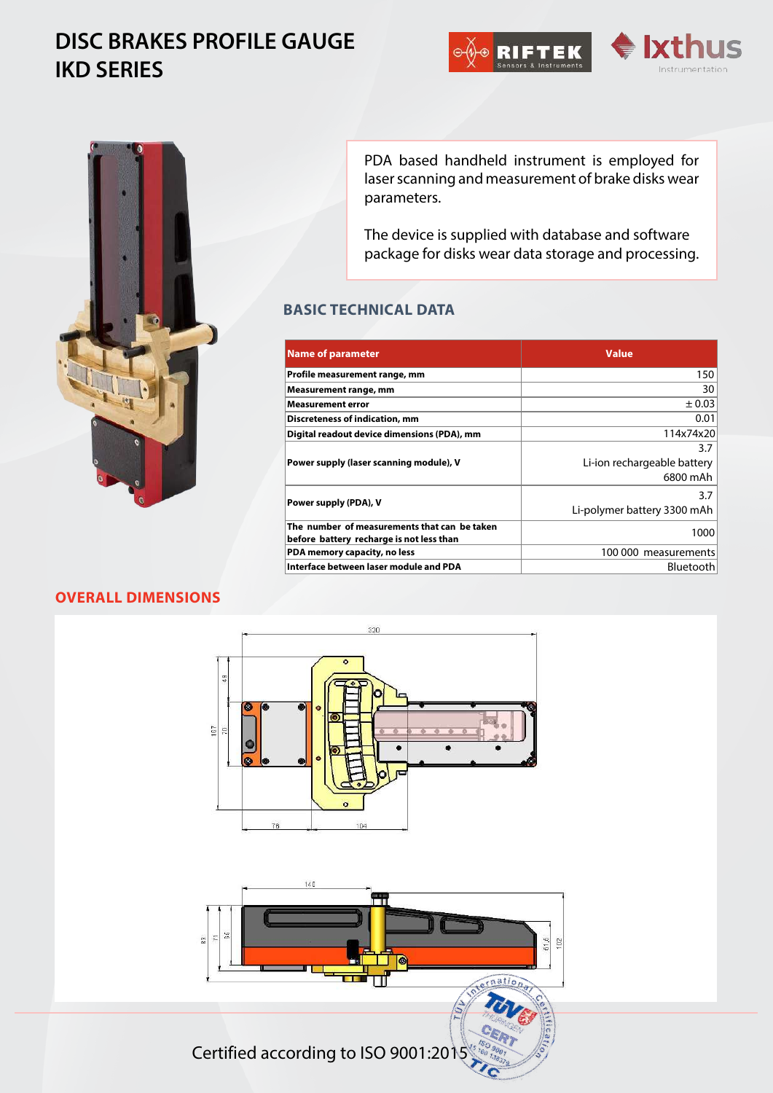# **DISC BRAKES PROFILE GAUGE IKD SERIES**







PDA based handheld instrument is employed for laser scanning and measurement of brake disks wear parameters.

The device is supplied with database and software package for disks wear data storage and processing.

## **BASIC TECHNICAL DATA**

| Name of parameter                            | <b>Value</b>                |
|----------------------------------------------|-----------------------------|
| Profile measurement range, mm                | 150                         |
| Measurement range, mm                        | 30                          |
| <b>Measurement error</b>                     | ± 0.03                      |
| Discreteness of indication, mm               | 0.01                        |
| Digital readout device dimensions (PDA), mm  | 114x74x20                   |
| Power supply (laser scanning module), V      | 3.7                         |
|                                              | Li-ion rechargeable battery |
|                                              | 6800 mAh                    |
| Power supply (PDA), V                        | 3.7                         |
|                                              | Li-polymer battery 3300 mAh |
| The number of measurements that can be taken | 1000                        |
| before battery recharge is not less than     |                             |
| PDA memory capacity, no less                 | 100 000 measurements        |
| Interface between laser module and PDA       | Bluetooth                   |

## **OVERALL DIMENSIONS**





Сertified according to ISO 9001:2015